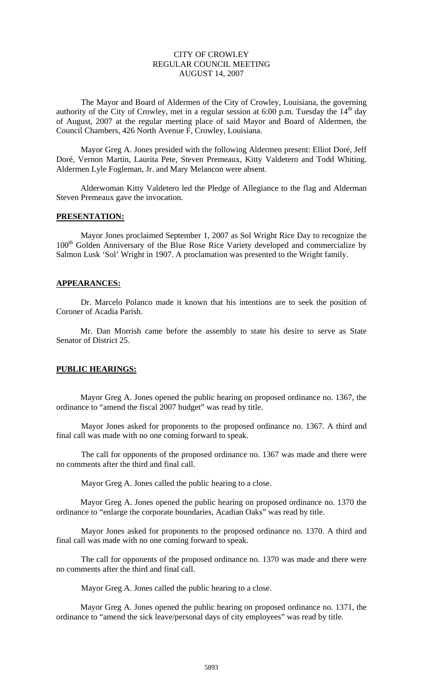# CITY OF CROWLEY REGULAR COUNCIL MEETING AUGUST 14, 2007

The Mayor and Board of Aldermen of the City of Crowley, Louisiana, the governing authority of the City of Crowley, met in a regular session at 6:00 p.m. Tuesday the  $14<sup>th</sup>$  day of August, 2007 at the regular meeting place of said Mayor and Board of Aldermen, the Council Chambers, 426 North Avenue F, Crowley, Louisiana.

 Mayor Greg A. Jones presided with the following Aldermen present: Elliot Doré, Jeff Doré, Vernon Martin, Laurita Pete, Steven Premeaux, Kitty Valdetero and Todd Whiting. Aldermen Lyle Fogleman, Jr. and Mary Melancon were absent.

 Alderwoman Kitty Valdetero led the Pledge of Allegiance to the flag and Alderman Steven Premeaux gave the invocation.

#### **PRESENTATION:**

 Mayor Jones proclaimed September 1, 2007 as Sol Wright Rice Day to recognize the 100<sup>th</sup> Golden Anniversary of the Blue Rose Rice Variety developed and commercialize by Salmon Lusk 'Sol' Wright in 1907. A proclamation was presented to the Wright family.

### **APPEARANCES:**

 Dr. Marcelo Polanco made it known that his intentions are to seek the position of Coroner of Acadia Parish.

Mr. Dan Morrish came before the assembly to state his desire to serve as State Senator of District 25.

## **PUBLIC HEARINGS:**

 Mayor Greg A. Jones opened the public hearing on proposed ordinance no. 1367, the ordinance to "amend the fiscal 2007 budget" was read by title.

 Mayor Jones asked for proponents to the proposed ordinance no. 1367. A third and final call was made with no one coming forward to speak.

 The call for opponents of the proposed ordinance no. 1367 was made and there were no comments after the third and final call.

Mayor Greg A. Jones called the public hearing to a close.

 Mayor Greg A. Jones opened the public hearing on proposed ordinance no. 1370 the ordinance to "enlarge the corporate boundaries, Acadian Oaks" was read by title.

 Mayor Jones asked for proponents to the proposed ordinance no. 1370. A third and final call was made with no one coming forward to speak.

 The call for opponents of the proposed ordinance no. 1370 was made and there were no comments after the third and final call.

Mayor Greg A. Jones called the public hearing to a close.

 Mayor Greg A. Jones opened the public hearing on proposed ordinance no. 1371, the ordinance to "amend the sick leave/personal days of city employees" was read by title.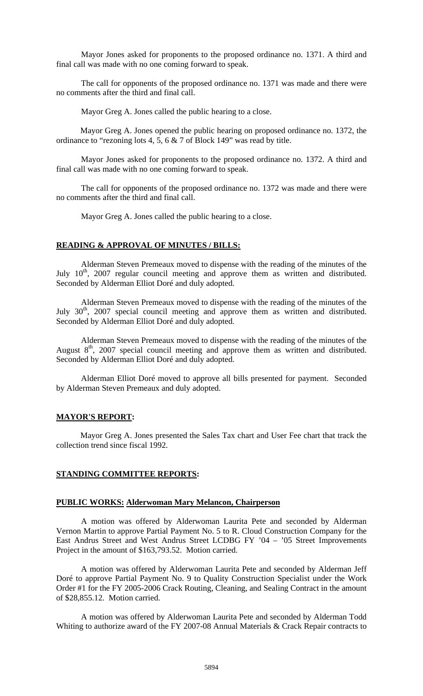Mayor Jones asked for proponents to the proposed ordinance no. 1371. A third and final call was made with no one coming forward to speak.

 The call for opponents of the proposed ordinance no. 1371 was made and there were no comments after the third and final call.

Mayor Greg A. Jones called the public hearing to a close.

 Mayor Greg A. Jones opened the public hearing on proposed ordinance no. 1372, the ordinance to "rezoning lots 4, 5, 6 & 7 of Block 149" was read by title.

 Mayor Jones asked for proponents to the proposed ordinance no. 1372. A third and final call was made with no one coming forward to speak.

 The call for opponents of the proposed ordinance no. 1372 was made and there were no comments after the third and final call.

Mayor Greg A. Jones called the public hearing to a close.

#### **READING & APPROVAL OF MINUTES / BILLS:**

 Alderman Steven Premeaux moved to dispense with the reading of the minutes of the July  $10^{th}$ , 2007 regular council meeting and approve them as written and distributed. Seconded by Alderman Elliot Doré and duly adopted.

Alderman Steven Premeaux moved to dispense with the reading of the minutes of the July  $30<sup>th</sup>$ ,  $2007$  special council meeting and approve them as written and distributed. Seconded by Alderman Elliot Doré and duly adopted.

Alderman Steven Premeaux moved to dispense with the reading of the minutes of the August  $8<sup>th</sup>$ , 2007 special council meeting and approve them as written and distributed. Seconded by Alderman Elliot Doré and duly adopted.

 Alderman Elliot Doré moved to approve all bills presented for payment. Seconded by Alderman Steven Premeaux and duly adopted.

#### **MAYOR'S REPORT:**

 Mayor Greg A. Jones presented the Sales Tax chart and User Fee chart that track the collection trend since fiscal 1992.

#### **STANDING COMMITTEE REPORTS:**

### **PUBLIC WORKS: Alderwoman Mary Melancon, Chairperson**

A motion was offered by Alderwoman Laurita Pete and seconded by Alderman Vernon Martin to approve Partial Payment No. 5 to R. Cloud Construction Company for the East Andrus Street and West Andrus Street LCDBG FY '04 – '05 Street Improvements Project in the amount of \$163,793.52. Motion carried.

A motion was offered by Alderwoman Laurita Pete and seconded by Alderman Jeff Doré to approve Partial Payment No. 9 to Quality Construction Specialist under the Work Order #1 for the FY 2005-2006 Crack Routing, Cleaning, and Sealing Contract in the amount of \$28,855.12. Motion carried.

A motion was offered by Alderwoman Laurita Pete and seconded by Alderman Todd Whiting to authorize award of the FY 2007-08 Annual Materials & Crack Repair contracts to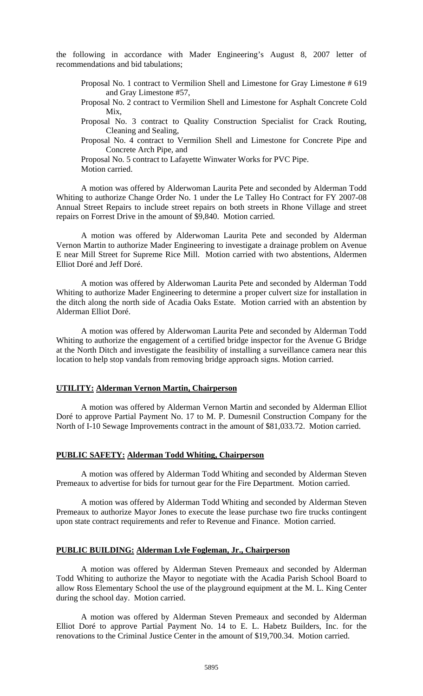the following in accordance with Mader Engineering's August 8, 2007 letter of recommendations and bid tabulations;

- Proposal No. 1 contract to Vermilion Shell and Limestone for Gray Limestone # 619 and Gray Limestone #57,
- Proposal No. 2 contract to Vermilion Shell and Limestone for Asphalt Concrete Cold Mix,
- Proposal No. 3 contract to Quality Construction Specialist for Crack Routing, Cleaning and Sealing,

Proposal No. 4 contract to Vermilion Shell and Limestone for Concrete Pipe and Concrete Arch Pipe, and

Proposal No. 5 contract to Lafayette Winwater Works for PVC Pipe. Motion carried.

A motion was offered by Alderwoman Laurita Pete and seconded by Alderman Todd Whiting to authorize Change Order No. 1 under the Le Talley Ho Contract for FY 2007-08 Annual Street Repairs to include street repairs on both streets in Rhone Village and street repairs on Forrest Drive in the amount of \$9,840. Motion carried.

A motion was offered by Alderwoman Laurita Pete and seconded by Alderman Vernon Martin to authorize Mader Engineering to investigate a drainage problem on Avenue E near Mill Street for Supreme Rice Mill. Motion carried with two abstentions, Aldermen Elliot Doré and Jeff Doré.

A motion was offered by Alderwoman Laurita Pete and seconded by Alderman Todd Whiting to authorize Mader Engineering to determine a proper culvert size for installation in the ditch along the north side of Acadia Oaks Estate. Motion carried with an abstention by Alderman Elliot Doré.

A motion was offered by Alderwoman Laurita Pete and seconded by Alderman Todd Whiting to authorize the engagement of a certified bridge inspector for the Avenue G Bridge at the North Ditch and investigate the feasibility of installing a surveillance camera near this location to help stop vandals from removing bridge approach signs. Motion carried.

### **UTILITY: Alderman Vernon Martin, Chairperson**

A motion was offered by Alderman Vernon Martin and seconded by Alderman Elliot Doré to approve Partial Payment No. 17 to M. P. Dumesnil Construction Company for the North of I-10 Sewage Improvements contract in the amount of \$81,033.72. Motion carried.

### **PUBLIC SAFETY: Alderman Todd Whiting, Chairperson**

A motion was offered by Alderman Todd Whiting and seconded by Alderman Steven Premeaux to advertise for bids for turnout gear for the Fire Department. Motion carried.

A motion was offered by Alderman Todd Whiting and seconded by Alderman Steven Premeaux to authorize Mayor Jones to execute the lease purchase two fire trucks contingent upon state contract requirements and refer to Revenue and Finance. Motion carried.

#### **PUBLIC BUILDING: Alderman Lyle Fogleman, Jr., Chairperson**

A motion was offered by Alderman Steven Premeaux and seconded by Alderman Todd Whiting to authorize the Mayor to negotiate with the Acadia Parish School Board to allow Ross Elementary School the use of the playground equipment at the M. L. King Center during the school day. Motion carried.

A motion was offered by Alderman Steven Premeaux and seconded by Alderman Elliot Doré to approve Partial Payment No. 14 to E. L. Habetz Builders, Inc. for the renovations to the Criminal Justice Center in the amount of \$19,700.34. Motion carried.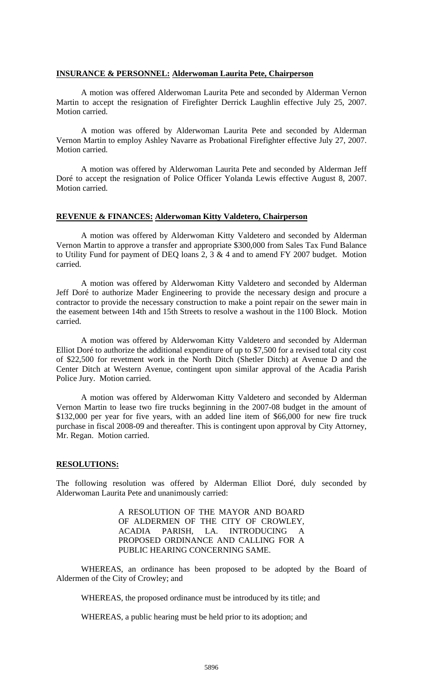### **INSURANCE & PERSONNEL: Alderwoman Laurita Pete, Chairperson**

A motion was offered Alderwoman Laurita Pete and seconded by Alderman Vernon Martin to accept the resignation of Firefighter Derrick Laughlin effective July 25, 2007. Motion carried.

A motion was offered by Alderwoman Laurita Pete and seconded by Alderman Vernon Martin to employ Ashley Navarre as Probational Firefighter effective July 27, 2007. Motion carried.

A motion was offered by Alderwoman Laurita Pete and seconded by Alderman Jeff Doré to accept the resignation of Police Officer Yolanda Lewis effective August 8, 2007. Motion carried.

### **REVENUE & FINANCES: Alderwoman Kitty Valdetero, Chairperson**

A motion was offered by Alderwoman Kitty Valdetero and seconded by Alderman Vernon Martin to approve a transfer and appropriate \$300,000 from Sales Tax Fund Balance to Utility Fund for payment of DEQ loans 2,  $3 \& 4$  and to amend FY 2007 budget. Motion carried.

A motion was offered by Alderwoman Kitty Valdetero and seconded by Alderman Jeff Doré to authorize Mader Engineering to provide the necessary design and procure a contractor to provide the necessary construction to make a point repair on the sewer main in the easement between 14th and 15th Streets to resolve a washout in the 1100 Block. Motion carried.

A motion was offered by Alderwoman Kitty Valdetero and seconded by Alderman Elliot Doré to authorize the additional expenditure of up to \$7,500 for a revised total city cost of \$22,500 for revetment work in the North Ditch (Shetler Ditch) at Avenue D and the Center Ditch at Western Avenue, contingent upon similar approval of the Acadia Parish Police Jury. Motion carried.

A motion was offered by Alderwoman Kitty Valdetero and seconded by Alderman Vernon Martin to lease two fire trucks beginning in the 2007-08 budget in the amount of \$132,000 per year for five years, with an added line item of \$66,000 for new fire truck purchase in fiscal 2008-09 and thereafter. This is contingent upon approval by City Attorney, Mr. Regan. Motion carried.

#### **RESOLUTIONS:**

The following resolution was offered by Alderman Elliot Doré, duly seconded by Alderwoman Laurita Pete and unanimously carried:

> A RESOLUTION OF THE MAYOR AND BOARD OF ALDERMEN OF THE CITY OF CROWLEY, ACADIA PARISH, LA. INTRODUCING A PROPOSED ORDINANCE AND CALLING FOR A PUBLIC HEARING CONCERNING SAME.

WHEREAS, an ordinance has been proposed to be adopted by the Board of Aldermen of the City of Crowley; and

WHEREAS, the proposed ordinance must be introduced by its title; and

WHEREAS, a public hearing must be held prior to its adoption; and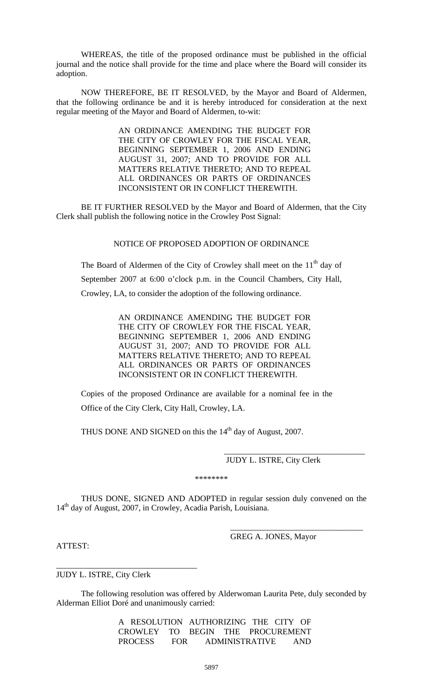WHEREAS, the title of the proposed ordinance must be published in the official journal and the notice shall provide for the time and place where the Board will consider its adoption.

NOW THEREFORE, BE IT RESOLVED, by the Mayor and Board of Aldermen, that the following ordinance be and it is hereby introduced for consideration at the next regular meeting of the Mayor and Board of Aldermen, to-wit:

> AN ORDINANCE AMENDING THE BUDGET FOR THE CITY OF CROWLEY FOR THE FISCAL YEAR, BEGINNING SEPTEMBER 1, 2006 AND ENDING AUGUST 31, 2007; AND TO PROVIDE FOR ALL MATTERS RELATIVE THERETO; AND TO REPEAL ALL ORDINANCES OR PARTS OF ORDINANCES INCONSISTENT OR IN CONFLICT THEREWITH.

BE IT FURTHER RESOLVED by the Mayor and Board of Aldermen, that the City Clerk shall publish the following notice in the Crowley Post Signal:

## NOTICE OF PROPOSED ADOPTION OF ORDINANCE

The Board of Aldermen of the City of Crowley shall meet on the  $11<sup>th</sup>$  day of September 2007 at 6:00 o'clock p.m. in the Council Chambers, City Hall, Crowley, LA, to consider the adoption of the following ordinance.

> AN ORDINANCE AMENDING THE BUDGET FOR THE CITY OF CROWLEY FOR THE FISCAL YEAR, BEGINNING SEPTEMBER 1, 2006 AND ENDING AUGUST 31, 2007; AND TO PROVIDE FOR ALL MATTERS RELATIVE THERETO; AND TO REPEAL ALL ORDINANCES OR PARTS OF ORDINANCES INCONSISTENT OR IN CONFLICT THEREWITH.

Copies of the proposed Ordinance are available for a nominal fee in the Office of the City Clerk, City Hall, Crowley, LA.

THUS DONE AND SIGNED on this the  $14<sup>th</sup>$  day of August, 2007.

 \_\_\_\_\_\_\_\_\_\_\_\_\_\_\_\_\_\_\_\_\_\_\_\_\_\_\_\_\_\_\_\_\_\_ JUDY L. ISTRE, City Clerk

\*\*\*\*\*\*\*\*

 THUS DONE, SIGNED AND ADOPTED in regular session duly convened on the 14<sup>th</sup> day of August, 2007, in Crowley, Acadia Parish, Louisiana.

GREG A. JONES, Mayor

\_\_\_\_\_\_\_\_\_\_\_\_\_\_\_\_\_\_\_\_\_\_\_\_\_\_\_\_\_\_\_\_

ATTEST:

JUDY L. ISTRE, City Clerk

\_\_\_\_\_\_\_\_\_\_\_\_\_\_\_\_\_\_\_\_\_\_\_\_\_\_\_\_\_\_\_\_\_\_

The following resolution was offered by Alderwoman Laurita Pete, duly seconded by Alderman Elliot Doré and unanimously carried:

> A RESOLUTION AUTHORIZING THE CITY OF CROWLEY TO BEGIN THE PROCUREMENT PROCESS FOR ADMINISTRATIVE AND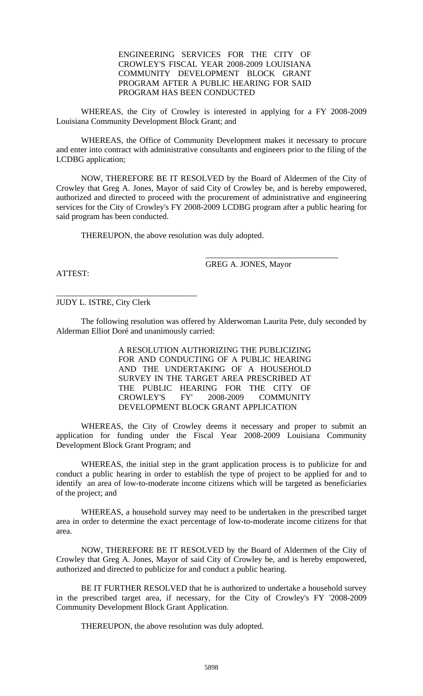## ENGINEERING SERVICES FOR THE CITY OF CROWLEY'S FISCAL YEAR 2008-2009 LOUISIANA COMMUNITY DEVELOPMENT BLOCK GRANT PROGRAM AFTER A PUBLIC HEARING FOR SAID PROGRAM HAS BEEN CONDUCTED

WHEREAS, the City of Crowley is interested in applying for a FY 2008-2009 Louisiana Community Development Block Grant; and

WHEREAS, the Office of Community Development makes it necessary to procure and enter into contract with administrative consultants and engineers prior to the filing of the LCDBG application;

NOW, THEREFORE BE IT RESOLVED by the Board of Aldermen of the City of Crowley that Greg A. Jones, Mayor of said City of Crowley be, and is hereby empowered, authorized and directed to proceed with the procurement of administrative and engineering services for the City of Crowley's FY 2008-2009 LCDBG program after a public hearing for said program has been conducted.

THEREUPON, the above resolution was duly adopted.

GREG A. JONES, Mayor

\_\_\_\_\_\_\_\_\_\_\_\_\_\_\_\_\_\_\_\_\_\_\_\_\_\_\_\_\_\_\_\_

ATTEST:

JUDY L. ISTRE, City Clerk

\_\_\_\_\_\_\_\_\_\_\_\_\_\_\_\_\_\_\_\_\_\_\_\_\_\_\_\_\_\_\_\_\_\_

The following resolution was offered by Alderwoman Laurita Pete, duly seconded by Alderman Elliot Doré and unanimously carried:

> A RESOLUTION AUTHORIZING THE PUBLICIZING FOR AND CONDUCTING OF A PUBLIC HEARING AND THE UNDERTAKING OF A HOUSEHOLD SURVEY IN THE TARGET AREA PRESCRIBED AT THE PUBLIC HEARING FOR THE CITY OF CROWLEY'S FY' 2008-2009 COMMUNITY DEVELOPMENT BLOCK GRANT APPLICATION

WHEREAS, the City of Crowley deems it necessary and proper to submit an application for funding under the Fiscal Year 2008-2009 Louisiana Community Development Block Grant Program; and

WHEREAS, the initial step in the grant application process is to publicize for and conduct a public hearing in order to establish the type of project to be applied for and to identify an area of low-to-moderate income citizens which will be targeted as beneficiaries of the project; and

WHEREAS, a household survey may need to be undertaken in the prescribed target area in order to determine the exact percentage of low-to-moderate income citizens for that area.

NOW, THEREFORE BE IT RESOLVED by the Board of Aldermen of the City of Crowley that Greg A. Jones, Mayor of said City of Crowley be, and is hereby empowered, authorized and directed to publicize for and conduct a public hearing.

BE IT FURTHER RESOLVED that he is authorized to undertake a household survey in the prescribed target area, if necessary, for the City of Crowley's FY '2008-2009 Community Development Block Grant Application.

THEREUPON, the above resolution was duly adopted.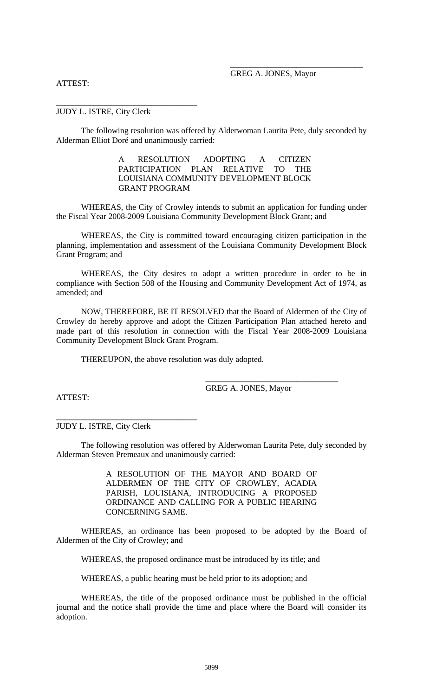### ATTEST:

## GREG A. JONES, Mayor

\_\_\_\_\_\_\_\_\_\_\_\_\_\_\_\_\_\_\_\_\_\_\_\_\_\_\_\_\_\_\_\_

JUDY L. ISTRE, City Clerk

\_\_\_\_\_\_\_\_\_\_\_\_\_\_\_\_\_\_\_\_\_\_\_\_\_\_\_\_\_\_\_\_\_\_

The following resolution was offered by Alderwoman Laurita Pete, duly seconded by Alderman Elliot Doré and unanimously carried:

> A RESOLUTION ADOPTING A CITIZEN PARTICIPATION PLAN RELATIVE TO THE LOUISIANA COMMUNITY DEVELOPMENT BLOCK GRANT PROGRAM

 WHEREAS, the City of Crowley intends to submit an application for funding under the Fiscal Year 2008-2009 Louisiana Community Development Block Grant; and

 WHEREAS, the City is committed toward encouraging citizen participation in the planning, implementation and assessment of the Louisiana Community Development Block Grant Program; and

 WHEREAS, the City desires to adopt a written procedure in order to be in compliance with Section 508 of the Housing and Community Development Act of 1974, as amended; and

 NOW, THEREFORE, BE IT RESOLVED that the Board of Aldermen of the City of Crowley do hereby approve and adopt the Citizen Participation Plan attached hereto and made part of this resolution in connection with the Fiscal Year 2008-2009 Louisiana Community Development Block Grant Program.

THEREUPON, the above resolution was duly adopted.

GREG A. JONES, Mayor

\_\_\_\_\_\_\_\_\_\_\_\_\_\_\_\_\_\_\_\_\_\_\_\_\_\_\_\_\_\_\_\_

ATTEST:

JUDY L. ISTRE, City Clerk

\_\_\_\_\_\_\_\_\_\_\_\_\_\_\_\_\_\_\_\_\_\_\_\_\_\_\_\_\_\_\_\_\_\_

The following resolution was offered by Alderwoman Laurita Pete, duly seconded by Alderman Steven Premeaux and unanimously carried:

> A RESOLUTION OF THE MAYOR AND BOARD OF ALDERMEN OF THE CITY OF CROWLEY, ACADIA PARISH, LOUISIANA, INTRODUCING A PROPOSED ORDINANCE AND CALLING FOR A PUBLIC HEARING CONCERNING SAME.

 WHEREAS, an ordinance has been proposed to be adopted by the Board of Aldermen of the City of Crowley; and

WHEREAS, the proposed ordinance must be introduced by its title; and

WHEREAS, a public hearing must be held prior to its adoption; and

 WHEREAS, the title of the proposed ordinance must be published in the official journal and the notice shall provide the time and place where the Board will consider its adoption.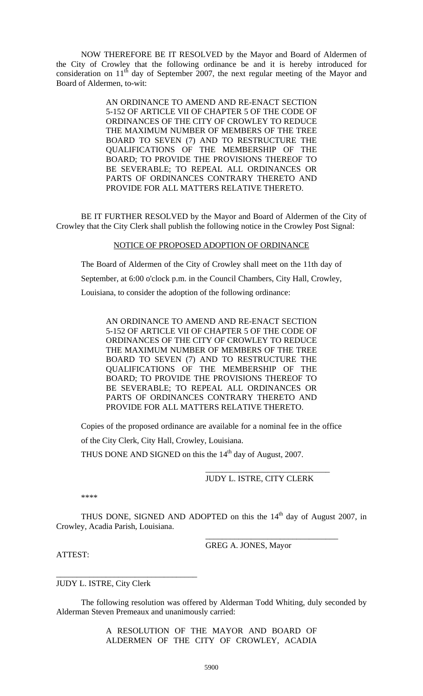NOW THEREFORE BE IT RESOLVED by the Mayor and Board of Aldermen of the City of Crowley that the following ordinance be and it is hereby introduced for consideration on  $11<sup>th</sup>$  day of September 2007, the next regular meeting of the Mayor and Board of Aldermen, to-wit:

> AN ORDINANCE TO AMEND AND RE-ENACT SECTION 5-152 OF ARTICLE VII OF CHAPTER 5 OF THE CODE OF ORDINANCES OF THE CITY OF CROWLEY TO REDUCE THE MAXIMUM NUMBER OF MEMBERS OF THE TREE BOARD TO SEVEN (7) AND TO RESTRUCTURE THE QUALIFICATIONS OF THE MEMBERSHIP OF THE BOARD; TO PROVIDE THE PROVISIONS THEREOF TO BE SEVERABLE; TO REPEAL ALL ORDINANCES OR PARTS OF ORDINANCES CONTRARY THERETO AND PROVIDE FOR ALL MATTERS RELATIVE THERETO.

 BE IT FURTHER RESOLVED by the Mayor and Board of Aldermen of the City of Crowley that the City Clerk shall publish the following notice in the Crowley Post Signal:

## NOTICE OF PROPOSED ADOPTION OF ORDINANCE

The Board of Aldermen of the City of Crowley shall meet on the 11th day of September, at 6:00 o'clock p.m. in the Council Chambers, City Hall, Crowley, Louisiana, to consider the adoption of the following ordinance:

AN ORDINANCE TO AMEND AND RE-ENACT SECTION 5-152 OF ARTICLE VII OF CHAPTER 5 OF THE CODE OF ORDINANCES OF THE CITY OF CROWLEY TO REDUCE THE MAXIMUM NUMBER OF MEMBERS OF THE TREE BOARD TO SEVEN (7) AND TO RESTRUCTURE THE QUALIFICATIONS OF THE MEMBERSHIP OF THE BOARD; TO PROVIDE THE PROVISIONS THEREOF TO BE SEVERABLE; TO REPEAL ALL ORDINANCES OR PARTS OF ORDINANCES CONTRARY THERETO AND PROVIDE FOR ALL MATTERS RELATIVE THERETO.

Copies of the proposed ordinance are available for a nominal fee in the office

of the City Clerk, City Hall, Crowley, Louisiana.

THUS DONE AND SIGNED on this the  $14<sup>th</sup>$  day of August, 2007.

 $\overline{\phantom{a}}$  , and the contract of the contract of the contract of the contract of the contract of the contract of the contract of the contract of the contract of the contract of the contract of the contract of the contrac JUDY L. ISTRE, CITY CLERK

\_\_\_\_\_\_\_\_\_\_\_\_\_\_\_\_\_\_\_\_\_\_\_\_\_\_\_\_\_\_\_\_

\*\*\*\*

THUS DONE, SIGNED AND ADOPTED on this the  $14<sup>th</sup>$  day of August 2007, in Crowley, Acadia Parish, Louisiana.

GREG A. JONES, Mayor

ATTEST:

JUDY L. ISTRE, City Clerk

\_\_\_\_\_\_\_\_\_\_\_\_\_\_\_\_\_\_\_\_\_\_\_\_\_\_\_\_\_\_\_\_\_\_

The following resolution was offered by Alderman Todd Whiting, duly seconded by Alderman Steven Premeaux and unanimously carried:

> A RESOLUTION OF THE MAYOR AND BOARD OF ALDERMEN OF THE CITY OF CROWLEY, ACADIA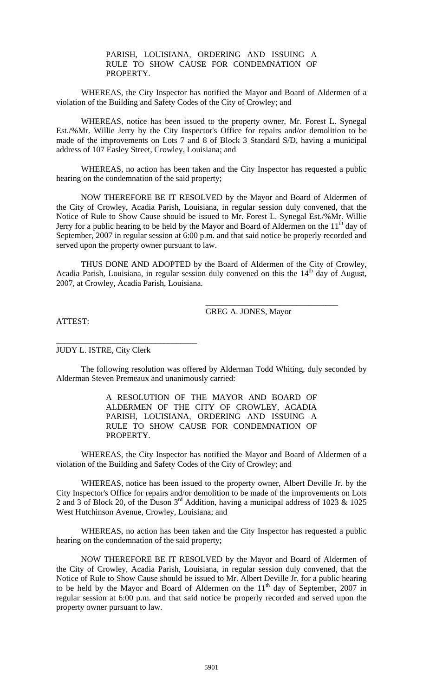# PARISH, LOUISIANA, ORDERING AND ISSUING A RULE TO SHOW CAUSE FOR CONDEMNATION OF PROPERTY.

 WHEREAS, the City Inspector has notified the Mayor and Board of Aldermen of a violation of the Building and Safety Codes of the City of Crowley; and

 WHEREAS, notice has been issued to the property owner, Mr. Forest L. Synegal Est./%Mr. Willie Jerry by the City Inspector's Office for repairs and/or demolition to be made of the improvements on Lots 7 and 8 of Block 3 Standard S/D, having a municipal address of 107 Easley Street, Crowley, Louisiana; and

 WHEREAS, no action has been taken and the City Inspector has requested a public hearing on the condemnation of the said property;

 NOW THEREFORE BE IT RESOLVED by the Mayor and Board of Aldermen of the City of Crowley, Acadia Parish, Louisiana, in regular session duly convened, that the Notice of Rule to Show Cause should be issued to Mr. Forest L. Synegal Est./%Mr. Willie Jerry for a public hearing to be held by the Mayor and Board of Aldermen on the  $11<sup>th</sup>$  day of September, 2007 in regular session at 6:00 p.m. and that said notice be properly recorded and served upon the property owner pursuant to law.

 THUS DONE AND ADOPTED by the Board of Aldermen of the City of Crowley, Acadia Parish, Louisiana, in regular session duly convened on this the  $14<sup>th</sup>$  day of August, 2007, at Crowley, Acadia Parish, Louisiana.

GREG A. JONES, Mayor

\_\_\_\_\_\_\_\_\_\_\_\_\_\_\_\_\_\_\_\_\_\_\_\_\_\_\_\_\_\_\_\_

ATTEST:

JUDY L. ISTRE, City Clerk

\_\_\_\_\_\_\_\_\_\_\_\_\_\_\_\_\_\_\_\_\_\_\_\_\_\_\_\_\_\_\_\_\_\_

The following resolution was offered by Alderman Todd Whiting, duly seconded by Alderman Steven Premeaux and unanimously carried:

> A RESOLUTION OF THE MAYOR AND BOARD OF ALDERMEN OF THE CITY OF CROWLEY, ACADIA PARISH, LOUISIANA, ORDERING AND ISSUING A RULE TO SHOW CAUSE FOR CONDEMNATION OF PROPERTY.

 WHEREAS, the City Inspector has notified the Mayor and Board of Aldermen of a violation of the Building and Safety Codes of the City of Crowley; and

 WHEREAS, notice has been issued to the property owner, Albert Deville Jr. by the City Inspector's Office for repairs and/or demolition to be made of the improvements on Lots 2 and 3 of Block 20, of the Duson 3rd Addition, having a municipal address of 1023 & 1025 West Hutchinson Avenue, Crowley, Louisiana; and

 WHEREAS, no action has been taken and the City Inspector has requested a public hearing on the condemnation of the said property;

 NOW THEREFORE BE IT RESOLVED by the Mayor and Board of Aldermen of the City of Crowley, Acadia Parish, Louisiana, in regular session duly convened, that the Notice of Rule to Show Cause should be issued to Mr. Albert Deville Jr. for a public hearing to be held by the Mayor and Board of Aldermen on the  $11<sup>th</sup>$  day of September, 2007 in regular session at 6:00 p.m. and that said notice be properly recorded and served upon the property owner pursuant to law.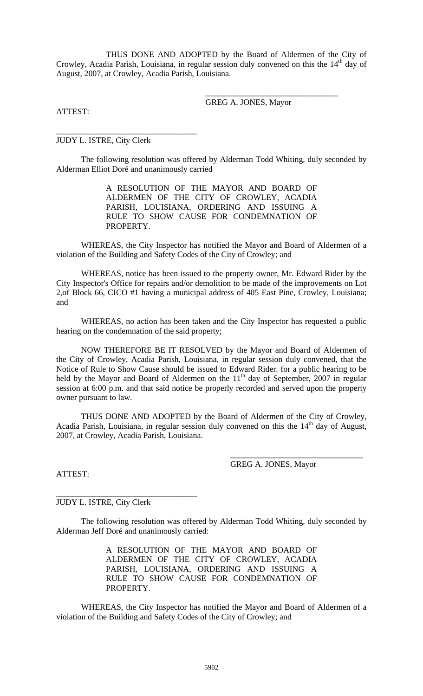THUS DONE AND ADOPTED by the Board of Aldermen of the City of Crowley, Acadia Parish, Louisiana, in regular session duly convened on this the  $14<sup>th</sup>$  day of August, 2007, at Crowley, Acadia Parish, Louisiana.

GREG A. JONES, Mayor

\_\_\_\_\_\_\_\_\_\_\_\_\_\_\_\_\_\_\_\_\_\_\_\_\_\_\_\_\_\_\_\_

ATTEST:

JUDY L. ISTRE, City Clerk

\_\_\_\_\_\_\_\_\_\_\_\_\_\_\_\_\_\_\_\_\_\_\_\_\_\_\_\_\_\_\_\_\_\_

The following resolution was offered by Alderman Todd Whiting, duly seconded by Alderman Elliot Doré and unanimously carried

> A RESOLUTION OF THE MAYOR AND BOARD OF ALDERMEN OF THE CITY OF CROWLEY, ACADIA PARISH, LOUISIANA, ORDERING AND ISSUING A RULE TO SHOW CAUSE FOR CONDEMNATION OF PROPERTY.

 WHEREAS, the City Inspector has notified the Mayor and Board of Aldermen of a violation of the Building and Safety Codes of the City of Crowley; and

 WHEREAS, notice has been issued to the property owner, Mr. Edward Rider by the City Inspector's Office for repairs and/or demolition to be made of the improvements on Lot 2,of Block 66, CICO #1 having a municipal address of 405 East Pine, Crowley, Louisiana; and

 WHEREAS, no action has been taken and the City Inspector has requested a public hearing on the condemnation of the said property;

 NOW THEREFORE BE IT RESOLVED by the Mayor and Board of Aldermen of the City of Crowley, Acadia Parish, Louisiana, in regular session duly convened, that the Notice of Rule to Show Cause should be issued to Edward Rider. for a public hearing to be held by the Mayor and Board of Aldermen on the  $11<sup>th</sup>$  day of September, 2007 in regular session at 6:00 p.m. and that said notice be properly recorded and served upon the property owner pursuant to law.

 THUS DONE AND ADOPTED by the Board of Aldermen of the City of Crowley, Acadia Parish, Louisiana, in regular session duly convened on this the  $14<sup>th</sup>$  day of August, 2007, at Crowley, Acadia Parish, Louisiana.

ATTEST:

GREG A. JONES, Mayor

\_\_\_\_\_\_\_\_\_\_\_\_\_\_\_\_\_\_\_\_\_\_\_\_\_\_\_\_\_\_\_\_

JUDY L. ISTRE, City Clerk

\_\_\_\_\_\_\_\_\_\_\_\_\_\_\_\_\_\_\_\_\_\_\_\_\_\_\_\_\_\_\_\_\_\_

The following resolution was offered by Alderman Todd Whiting, duly seconded by Alderman Jeff Doré and unanimously carried:

> A RESOLUTION OF THE MAYOR AND BOARD OF ALDERMEN OF THE CITY OF CROWLEY, ACADIA PARISH, LOUISIANA, ORDERING AND ISSUING A RULE TO SHOW CAUSE FOR CONDEMNATION OF PROPERTY.

 WHEREAS, the City Inspector has notified the Mayor and Board of Aldermen of a violation of the Building and Safety Codes of the City of Crowley; and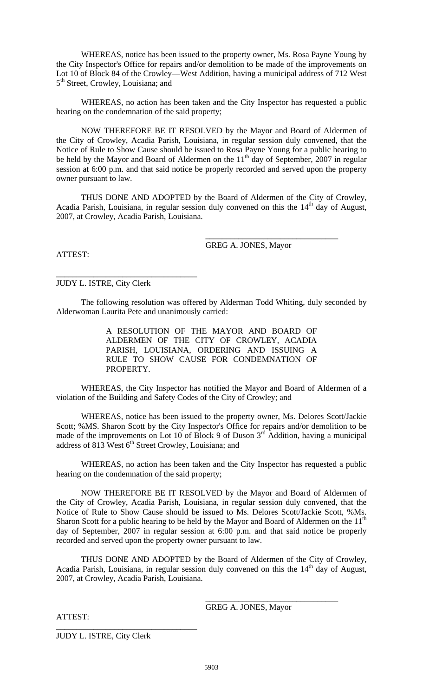WHEREAS, notice has been issued to the property owner, Ms. Rosa Payne Young by the City Inspector's Office for repairs and/or demolition to be made of the improvements on Lot 10 of Block 84 of the Crowley—West Addition, having a municipal address of 712 West 5<sup>th</sup> Street, Crowley, Louisiana; and

 WHEREAS, no action has been taken and the City Inspector has requested a public hearing on the condemnation of the said property;

 NOW THEREFORE BE IT RESOLVED by the Mayor and Board of Aldermen of the City of Crowley, Acadia Parish, Louisiana, in regular session duly convened, that the Notice of Rule to Show Cause should be issued to Rosa Payne Young for a public hearing to be held by the Mayor and Board of Aldermen on the  $11<sup>th</sup>$  day of September, 2007 in regular session at 6:00 p.m. and that said notice be properly recorded and served upon the property owner pursuant to law.

 THUS DONE AND ADOPTED by the Board of Aldermen of the City of Crowley, Acadia Parish, Louisiana, in regular session duly convened on this the  $14<sup>th</sup>$  day of August, 2007, at Crowley, Acadia Parish, Louisiana.

GREG A. JONES, Mayor

\_\_\_\_\_\_\_\_\_\_\_\_\_\_\_\_\_\_\_\_\_\_\_\_\_\_\_\_\_\_\_\_

ATTEST:

\_\_\_\_\_\_\_\_\_\_\_\_\_\_\_\_\_\_\_\_\_\_\_\_\_\_\_\_\_\_\_\_\_\_ JUDY L. ISTRE, City Clerk

The following resolution was offered by Alderman Todd Whiting, duly seconded by Alderwoman Laurita Pete and unanimously carried:

> A RESOLUTION OF THE MAYOR AND BOARD OF ALDERMEN OF THE CITY OF CROWLEY, ACADIA PARISH, LOUISIANA, ORDERING AND ISSUING A RULE TO SHOW CAUSE FOR CONDEMNATION OF PROPERTY.

 WHEREAS, the City Inspector has notified the Mayor and Board of Aldermen of a violation of the Building and Safety Codes of the City of Crowley; and

 WHEREAS, notice has been issued to the property owner, Ms. Delores Scott/Jackie Scott; %MS. Sharon Scott by the City Inspector's Office for repairs and/or demolition to be made of the improvements on Lot 10 of Block 9 of Duson  $3<sup>rd</sup>$  Addition, having a municipal address of 813 West 6<sup>th</sup> Street Crowley, Louisiana; and

 WHEREAS, no action has been taken and the City Inspector has requested a public hearing on the condemnation of the said property;

 NOW THEREFORE BE IT RESOLVED by the Mayor and Board of Aldermen of the City of Crowley, Acadia Parish, Louisiana, in regular session duly convened, that the Notice of Rule to Show Cause should be issued to Ms. Delores Scott/Jackie Scott, %Ms. Sharon Scott for a public hearing to be held by the Mayor and Board of Aldermen on the  $11<sup>th</sup>$ day of September, 2007 in regular session at 6:00 p.m. and that said notice be properly recorded and served upon the property owner pursuant to law.

 THUS DONE AND ADOPTED by the Board of Aldermen of the City of Crowley, Acadia Parish, Louisiana, in regular session duly convened on this the  $14<sup>th</sup>$  day of August, 2007, at Crowley, Acadia Parish, Louisiana.

GREG A. JONES, Mayor

\_\_\_\_\_\_\_\_\_\_\_\_\_\_\_\_\_\_\_\_\_\_\_\_\_\_\_\_\_\_\_\_

ATTEST:

JUDY L. ISTRE, City Clerk

\_\_\_\_\_\_\_\_\_\_\_\_\_\_\_\_\_\_\_\_\_\_\_\_\_\_\_\_\_\_\_\_\_\_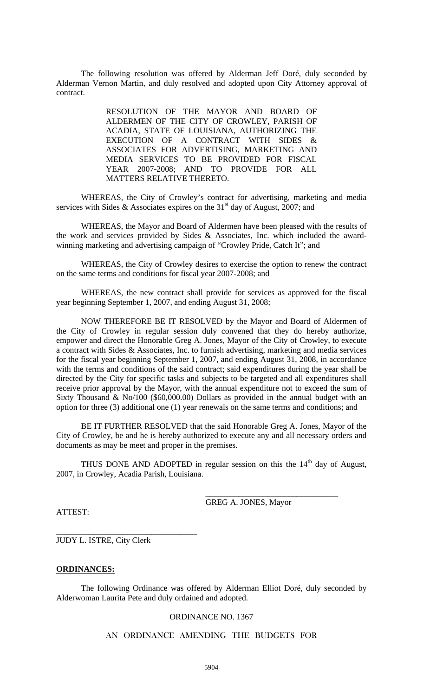The following resolution was offered by Alderman Jeff Doré, duly seconded by Alderman Vernon Martin, and duly resolved and adopted upon City Attorney approval of contract.

> RESOLUTION OF THE MAYOR AND BOARD OF ALDERMEN OF THE CITY OF CROWLEY, PARISH OF ACADIA, STATE OF LOUISIANA, AUTHORIZING THE EXECUTION OF A CONTRACT WITH SIDES & ASSOCIATES FOR ADVERTISING, MARKETING AND MEDIA SERVICES TO BE PROVIDED FOR FISCAL YEAR 2007-2008; AND TO PROVIDE FOR ALL MATTERS RELATIVE THERETO.

 WHEREAS, the City of Crowley's contract for advertising, marketing and media services with Sides & Associates expires on the  $31<sup>st</sup>$  day of August, 2007; and

 WHEREAS, the Mayor and Board of Aldermen have been pleased with the results of the work and services provided by Sides & Associates, Inc. which included the awardwinning marketing and advertising campaign of "Crowley Pride, Catch It"; and

 WHEREAS, the City of Crowley desires to exercise the option to renew the contract on the same terms and conditions for fiscal year 2007-2008; and

 WHEREAS, the new contract shall provide for services as approved for the fiscal year beginning September 1, 2007, and ending August 31, 2008;

 NOW THEREFORE BE IT RESOLVED by the Mayor and Board of Aldermen of the City of Crowley in regular session duly convened that they do hereby authorize, empower and direct the Honorable Greg A. Jones, Mayor of the City of Crowley, to execute a contract with Sides & Associates, Inc. to furnish advertising, marketing and media services for the fiscal year beginning September 1, 2007, and ending August 31, 2008, in accordance with the terms and conditions of the said contract; said expenditures during the year shall be directed by the City for specific tasks and subjects to be targeted and all expenditures shall receive prior approval by the Mayor, with the annual expenditure not to exceed the sum of Sixty Thousand & No/100 (\$60,000.00) Dollars as provided in the annual budget with an option for three (3) additional one (1) year renewals on the same terms and conditions; and

 BE IT FURTHER RESOLVED that the said Honorable Greg A. Jones, Mayor of the City of Crowley, be and he is hereby authorized to execute any and all necessary orders and documents as may be meet and proper in the premises.

THUS DONE AND ADOPTED in regular session on this the  $14<sup>th</sup>$  day of August, 2007, in Crowley, Acadia Parish, Louisiana.

GREG A. JONES, Mayor

\_\_\_\_\_\_\_\_\_\_\_\_\_\_\_\_\_\_\_\_\_\_\_\_\_\_\_\_\_\_\_\_

ATTEST:

JUDY L. ISTRE, City Clerk

\_\_\_\_\_\_\_\_\_\_\_\_\_\_\_\_\_\_\_\_\_\_\_\_\_\_\_\_\_\_\_\_\_\_

#### **ORDINANCES:**

The following Ordinance was offered by Alderman Elliot Doré, duly seconded by Alderwoman Laurita Pete and duly ordained and adopted.

### ORDINANCE NO. 1367

AN ORDINANCE AMENDING THE BUDGETS FOR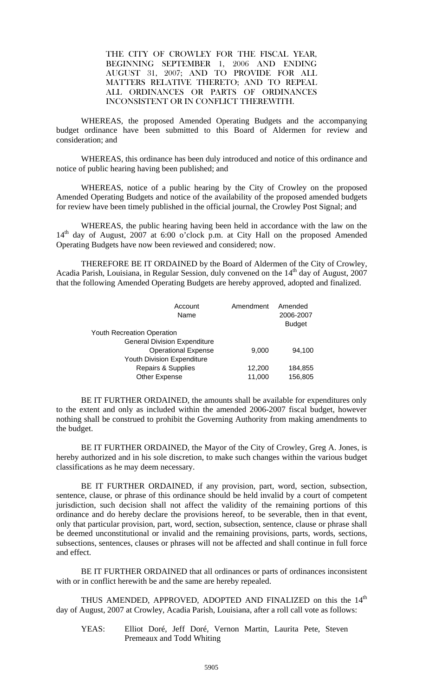THE CITY OF CROWLEY FOR THE FISCAL YEAR, BEGINNING SEPTEMBER 1, 2006 AND ENDING AUGUST 31, 2007; AND TO PROVIDE FOR ALL MATTERS RELATIVE THERETO; AND TO REPEAL ALL ORDINANCES OR PARTS OF ORDINANCES INCONSISTENT OR IN CONFLICT THEREWITH.

 WHEREAS, the proposed Amended Operating Budgets and the accompanying budget ordinance have been submitted to this Board of Aldermen for review and consideration; and

 WHEREAS, this ordinance has been duly introduced and notice of this ordinance and notice of public hearing having been published; and

 WHEREAS, notice of a public hearing by the City of Crowley on the proposed Amended Operating Budgets and notice of the availability of the proposed amended budgets for review have been timely published in the official journal, the Crowley Post Signal; and

 WHEREAS, the public hearing having been held in accordance with the law on the 14<sup>th</sup> day of August, 2007 at 6:00 o'clock p.m. at City Hall on the proposed Amended Operating Budgets have now been reviewed and considered; now.

THEREFORE BE IT ORDAINED by the Board of Aldermen of the City of Crowley, Acadia Parish, Louisiana, in Regular Session, duly convened on the 14<sup>th</sup> day of August, 2007 that the following Amended Operating Budgets are hereby approved, adopted and finalized.

| Amendment | Amended<br>2006-2007<br><b>Budget</b> |
|-----------|---------------------------------------|
|           |                                       |
|           |                                       |
| 9,000     | 94.100                                |
|           |                                       |
| 12,200    | 184,855                               |
| 11,000    | 156,805                               |
|           |                                       |

 BE IT FURTHER ORDAINED, the amounts shall be available for expenditures only to the extent and only as included within the amended 2006-2007 fiscal budget, however nothing shall be construed to prohibit the Governing Authority from making amendments to the budget.

BE IT FURTHER ORDAINED, the Mayor of the City of Crowley, Greg A. Jones, is hereby authorized and in his sole discretion, to make such changes within the various budget classifications as he may deem necessary.

BE IT FURTHER ORDAINED, if any provision, part, word, section, subsection, sentence, clause, or phrase of this ordinance should be held invalid by a court of competent jurisdiction, such decision shall not affect the validity of the remaining portions of this ordinance and do hereby declare the provisions hereof, to be severable, then in that event, only that particular provision, part, word, section, subsection, sentence, clause or phrase shall be deemed unconstitutional or invalid and the remaining provisions, parts, words, sections, subsections, sentences, clauses or phrases will not be affected and shall continue in full force and effect.

BE IT FURTHER ORDAINED that all ordinances or parts of ordinances inconsistent with or in conflict herewith be and the same are hereby repealed.

THUS AMENDED, APPROVED, ADOPTED AND FINALIZED on this the 14<sup>th</sup> day of August, 2007 at Crowley, Acadia Parish, Louisiana, after a roll call vote as follows:

YEAS: Elliot Doré, Jeff Doré, Vernon Martin, Laurita Pete, Steven Premeaux and Todd Whiting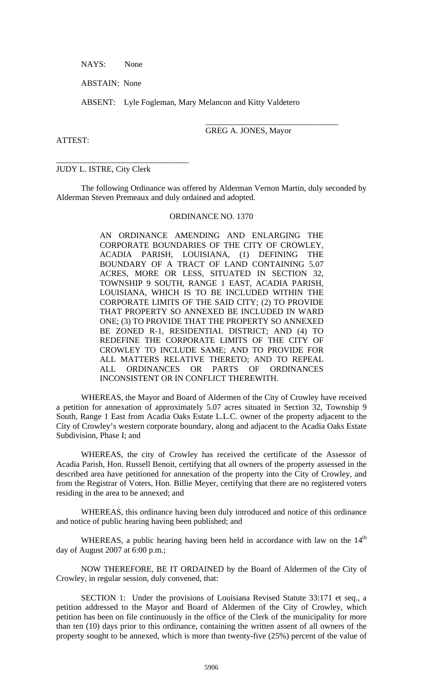NAYS: None

ABSTAIN: None

ABSENT: Lyle Fogleman, Mary Melancon and Kitty Valdetero

 $\overline{\phantom{a}}$  , and the contract of the contract of the contract of the contract of the contract of the contract of the contract of the contract of the contract of the contract of the contract of the contract of the contrac

ATTEST:

GREG A. JONES, Mayor

## JUDY L. ISTRE, City Clerk

\_\_\_\_\_\_\_\_\_\_\_\_\_\_\_\_\_\_\_\_\_\_\_\_\_\_\_\_\_\_\_\_

The following Ordinance was offered by Alderman Vernon Martin, duly seconded by Alderman Steven Premeaux and duly ordained and adopted.

#### ORDINANCE NO. 1370

AN ORDINANCE AMENDING AND ENLARGING THE CORPORATE BOUNDARIES OF THE CITY OF CROWLEY, ACADIA PARISH, LOUISIANA, (1) DEFINING THE BOUNDARY OF A TRACT OF LAND CONTAINING 5.07 ACRES, MORE OR LESS, SITUATED IN SECTION 32, TOWNSHIP 9 SOUTH, RANGE 1 EAST, ACADIA PARISH, LOUISIANA, WHICH IS TO BE INCLUDED WITHIN THE CORPORATE LIMITS OF THE SAID CITY; (2) TO PROVIDE THAT PROPERTY SO ANNEXED BE INCLUDED IN WARD ONE; (3) TO PROVIDE THAT THE PROPERTY SO ANNEXED BE ZONED R-1, RESIDENTIAL DISTRICT; AND (4) TO REDEFINE THE CORPORATE LIMITS OF THE CITY OF CROWLEY TO INCLUDE SAME; AND TO PROVIDE FOR ALL MATTERS RELATIVE THERETO; AND TO REPEAL ALL ORDINANCES OR PARTS OF ORDINANCES INCONSISTENT OR IN CONFLICT THEREWITH.

 WHEREAS, the Mayor and Board of Aldermen of the City of Crowley have received a petition for annexation of approximately 5.07 acres situated in Section 32, Township 9 South, Range 1 East from Acadia Oaks Estate L.L.C. owner of the property adjacent to the City of Crowley's western corporate boundary, along and adjacent to the Acadia Oaks Estate Subdivision, Phase I; and

 WHEREAS, the city of Crowley has received the certificate of the Assessor of Acadia Parish, Hon. Russell Benoit, certifying that all owners of the property assessed in the described area have petitioned for annexation of the property into the City of Crowley, and from the Registrar of Voters, Hon. Billie Meyer, certifying that there are no registered voters residing in the area to be annexed; and

 WHEREAS, this ordinance having been duly introduced and notice of this ordinance and notice of public hearing having been published; and

WHEREAS, a public hearing having been held in accordance with law on the  $14<sup>th</sup>$ day of August 2007 at 6:00 p.m.;

 NOW THEREFORE, BE IT ORDAINED by the Board of Aldermen of the City of Crowley, in regular session, duly convened, that:

 SECTION 1: Under the provisions of Louisiana Revised Statute 33:171 et seq., a petition addressed to the Mayor and Board of Aldermen of the City of Crowley, which petition has been on file continuously in the office of the Clerk of the municipality for more than ten (10) days prior to this ordinance, containing the written assent of all owners of the property sought to be annexed, which is more than twenty-five (25%) percent of the value of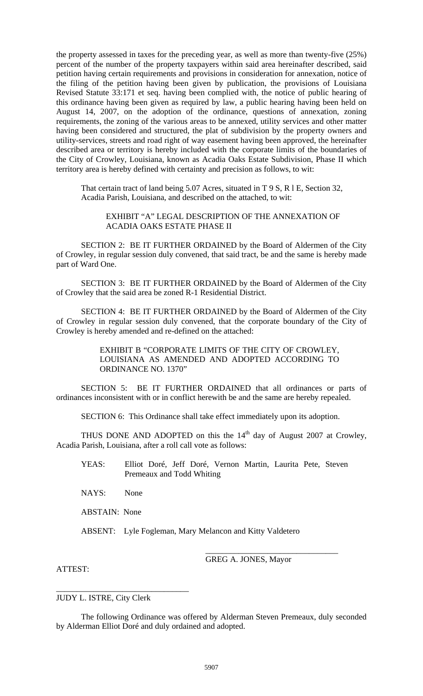the property assessed in taxes for the preceding year, as well as more than twenty-five (25%) percent of the number of the property taxpayers within said area hereinafter described, said petition having certain requirements and provisions in consideration for annexation, notice of the filing of the petition having been given by publication, the provisions of Louisiana Revised Statute 33:171 et seq. having been complied with, the notice of public hearing of this ordinance having been given as required by law, a public hearing having been held on August 14, 2007, on the adoption of the ordinance, questions of annexation, zoning requirements, the zoning of the various areas to be annexed, utility services and other matter having been considered and structured, the plat of subdivision by the property owners and utility-services, streets and road right of way easement having been approved, the hereinafter described area or territory is hereby included with the corporate limits of the boundaries of the City of Crowley, Louisiana, known as Acadia Oaks Estate Subdivision, Phase II which territory area is hereby defined with certainty and precision as follows, to wit:

That certain tract of land being 5.07 Acres, situated in T 9 S, R l E, Section 32, Acadia Parish, Louisiana, and described on the attached, to wit:

## EXHIBIT "A" LEGAL DESCRIPTION OF THE ANNEXATION OF ACADIA OAKS ESTATE PHASE II

 SECTION 2: BE IT FURTHER ORDAINED by the Board of Aldermen of the City of Crowley, in regular session duly convened, that said tract, be and the same is hereby made part of Ward One.

 SECTION 3: BE IT FURTHER ORDAINED by the Board of Aldermen of the City of Crowley that the said area be zoned R-1 Residential District.

 SECTION 4: BE IT FURTHER ORDAINED by the Board of Aldermen of the City of Crowley in regular session duly convened, that the corporate boundary of the City of Crowley is hereby amended and re-defined on the attached:

> EXHIBIT B "CORPORATE LIMITS OF THE CITY OF CROWLEY, LOUISIANA AS AMENDED AND ADOPTED ACCORDING TO ORDINANCE NO. 1370"

 SECTION 5: BE IT FURTHER ORDAINED that all ordinances or parts of ordinances inconsistent with or in conflict herewith be and the same are hereby repealed.

SECTION 6: This Ordinance shall take effect immediately upon its adoption.

THUS DONE AND ADOPTED on this the  $14<sup>th</sup>$  day of August 2007 at Crowley, Acadia Parish, Louisiana, after a roll call vote as follows:

YEAS: Elliot Doré, Jeff Doré, Vernon Martin, Laurita Pete, Steven Premeaux and Todd Whiting

NAYS: None

ABSTAIN: None

ABSENT: Lyle Fogleman, Mary Melancon and Kitty Valdetero

 $\overline{\phantom{a}}$  , and the contract of the contract of the contract of the contract of the contract of the contract of the contract of the contract of the contract of the contract of the contract of the contract of the contrac

GREG A. JONES, Mayor

ATTEST:

\_\_\_\_\_\_\_\_\_\_\_\_\_\_\_\_\_\_\_\_\_\_\_\_\_\_\_\_\_\_\_\_ JUDY L. ISTRE, City Clerk

The following Ordinance was offered by Alderman Steven Premeaux, duly seconded by Alderman Elliot Doré and duly ordained and adopted.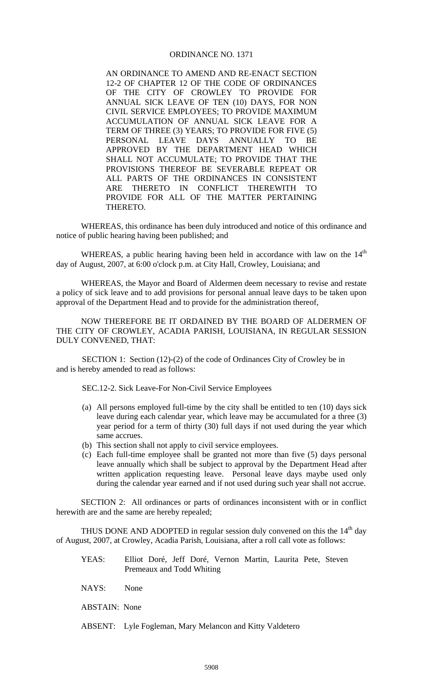## ORDINANCE NO. 1371

AN ORDINANCE TO AMEND AND RE-ENACT SECTION 12-2 OF CHAPTER 12 OF THE CODE OF ORDINANCES OF THE CITY OF CROWLEY TO PROVIDE FOR ANNUAL SICK LEAVE OF TEN (10) DAYS, FOR NON CIVIL SERVICE EMPLOYEES; TO PROVIDE MAXIMUM ACCUMULATION OF ANNUAL SICK LEAVE FOR A TERM OF THREE (3) YEARS; TO PROVIDE FOR FIVE (5) PERSONAL LEAVE DAYS ANNUALLY TO BE APPROVED BY THE DEPARTMENT HEAD WHICH SHALL NOT ACCUMULATE; TO PROVIDE THAT THE PROVISIONS THEREOF BE SEVERABLE REPEAT OR ALL PARTS OF THE ORDINANCES IN CONSISTENT ARE THERETO IN CONFLICT THEREWITH TO PROVIDE FOR ALL OF THE MATTER PERTAINING THERETO.

 WHEREAS, this ordinance has been duly introduced and notice of this ordinance and notice of public hearing having been published; and

WHEREAS, a public hearing having been held in accordance with law on the 14<sup>th</sup> day of August, 2007, at 6:00 o'clock p.m. at City Hall, Crowley, Louisiana; and

 WHEREAS, the Mayor and Board of Aldermen deem necessary to revise and restate a policy of sick leave and to add provisions for personal annual leave days to be taken upon approval of the Department Head and to provide for the administration thereof,

 NOW THEREFORE BE IT ORDAINED BY THE BOARD OF ALDERMEN OF THE CITY OF CROWLEY, ACADIA PARISH, LOUISIANA, IN REGULAR SESSION DULY CONVENED, THAT:

 SECTION 1: Section (12)-(2) of the code of Ordinances City of Crowley be in and is hereby amended to read as follows:

SEC.12-2. Sick Leave-For Non-Civil Service Employees

- (a) All persons employed full-time by the city shall be entitled to ten (10) days sick leave during each calendar year, which leave may be accumulated for a three (3) year period for a term of thirty (30) full days if not used during the year which same accrues.
- (b) This section shall not apply to civil service employees.
- (c) Each full-time employee shall be granted not more than five (5) days personal leave annually which shall be subject to approval by the Department Head after written application requesting leave. Personal leave days maybe used only during the calendar year earned and if not used during such year shall not accrue.

 SECTION 2: All ordinances or parts of ordinances inconsistent with or in conflict herewith are and the same are hereby repealed;

THUS DONE AND ADOPTED in regular session duly convened on this the  $14<sup>th</sup>$  day of August, 2007, at Crowley, Acadia Parish, Louisiana, after a roll call vote as follows:

- YEAS: Elliot Doré, Jeff Doré, Vernon Martin, Laurita Pete, Steven Premeaux and Todd Whiting
- NAYS: None
- ABSTAIN: None
- ABSENT: Lyle Fogleman, Mary Melancon and Kitty Valdetero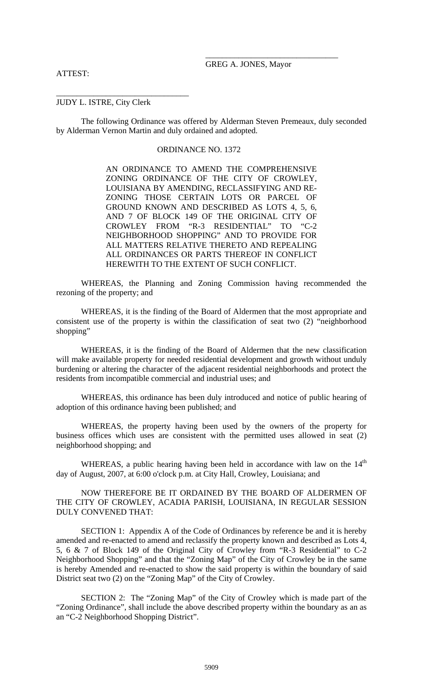#### ATTEST:

GREG A. JONES, Mayor

### JUDY L. ISTRE, City Clerk

\_\_\_\_\_\_\_\_\_\_\_\_\_\_\_\_\_\_\_\_\_\_\_\_\_\_\_\_\_\_\_\_

The following Ordinance was offered by Alderman Steven Premeaux, duly seconded by Alderman Vernon Martin and duly ordained and adopted.

## ORDINANCE NO. 1372

 $\overline{\phantom{a}}$  , and the contract of the contract of the contract of the contract of the contract of the contract of the contract of the contract of the contract of the contract of the contract of the contract of the contrac

AN ORDINANCE TO AMEND THE COMPREHENSIVE ZONING ORDINANCE OF THE CITY OF CROWLEY, LOUISIANA BY AMENDING, RECLASSIFYING AND RE-ZONING THOSE CERTAIN LOTS OR PARCEL OF GROUND KNOWN AND DESCRIBED AS LOTS 4, 5, 6, AND 7 OF BLOCK 149 OF THE ORIGINAL CITY OF CROWLEY FROM "R-3 RESIDENTIAL" TO "C-2 NEIGHBORHOOD SHOPPING" AND TO PROVIDE FOR ALL MATTERS RELATIVE THERETO AND REPEALING ALL ORDINANCES OR PARTS THEREOF IN CONFLICT HEREWITH TO THE EXTENT OF SUCH CONFLICT.

 WHEREAS, the Planning and Zoning Commission having recommended the rezoning of the property; and

 WHEREAS, it is the finding of the Board of Aldermen that the most appropriate and consistent use of the property is within the classification of seat two (2) "neighborhood shopping"

 WHEREAS, it is the finding of the Board of Aldermen that the new classification will make available property for needed residential development and growth without unduly burdening or altering the character of the adjacent residential neighborhoods and protect the residents from incompatible commercial and industrial uses; and

 WHEREAS, this ordinance has been duly introduced and notice of public hearing of adoption of this ordinance having been published; and

 WHEREAS, the property having been used by the owners of the property for business offices which uses are consistent with the permitted uses allowed in seat (2) neighborhood shopping; and

WHEREAS, a public hearing having been held in accordance with law on the  $14<sup>th</sup>$ day of August, 2007, at 6:00 o'clock p.m. at City Hall, Crowley, Louisiana; and

 NOW THEREFORE BE IT ORDAINED BY THE BOARD OF ALDERMEN OF THE CITY OF CROWLEY, ACADIA PARISH, LOUISIANA, IN REGULAR SESSION DULY CONVENED THAT:

 SECTION 1: Appendix A of the Code of Ordinances by reference be and it is hereby amended and re-enacted to amend and reclassify the property known and described as Lots 4, 5, 6 & 7 of Block 149 of the Original City of Crowley from "R-3 Residential" to C-2 Neighborhood Shopping" and that the "Zoning Map" of the City of Crowley be in the same is hereby Amended and re-enacted to show the said property is within the boundary of said District seat two (2) on the "Zoning Map" of the City of Crowley.

 SECTION 2: The "Zoning Map" of the City of Crowley which is made part of the "Zoning Ordinance", shall include the above described property within the boundary as an as an "C-2 Neighborhood Shopping District".